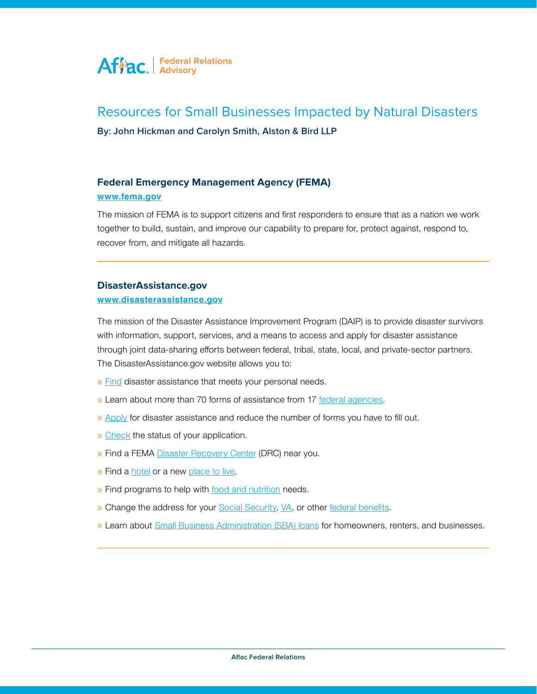

# Resources for Small Businesses Impacted by Natural Disasters

**By: John Hickman and Carolyn Smith, Alston & Bird LLP**

## **Federal Emergency Management Agency (FEMA)**

#### **[www.fema.gov](http://www.fema.gov)**

Federal Emergency (Fig. 1)<br> **Federal Emergency (Fig. 1)** The mission of FEMA is to support citizens and first responders to ensure that as a nation we work together to build, sustain, and improve our capability to prepare for, protect against, respond to,

## **therefore our capability to build, sustain, respond to, protect against, respond to, protect against, respond to, protect against, respond to, prove our capability to, protect against, respond to,**  $\alpha$

#### www.disasterassistance.gov

through joint data-sharing efforts between federal, tribal, state, local, and private-sector partners. The DisasterAssistance.gov website allows you to: The mission of the Disaster Assistance Improvement Program (DAIP) is to provide disaster survivors with information, support, services, and a means to access and apply for disaster assistance

- The mission of the Disaster Assistance Improvement Provide disaster  $\mathcal{L}$ » [Find](https://www.disasterassistance.gov/get-assistance/find-assistance) disaster assistance that meets your personal needs.
- » Learn about more than 70 forms of assistance from 17 [federal agencies.](https://www.disasterassistance.gov/get-assistance/assistance-by-federal-agency)
- » Apply for disaster assistance and reduce the number of forms you have to fill out.
- » [Check](https://www.disasterassistance.gov/DAC/govBenefitReceiver.do?langcode=EN&action=LOGIN) the status of your application.
- » Find a FEMA Disaster Recovery Center (DRC) near you.
- » Find a *hotel* or a new place to live.

» Find a hotel or a new place to live.

- » Find programs to help with food and nutrition needs.
- » Change the address for your **[Social Security,](https://www.disasterassistance.gov/get-assistance/forms-of-assistance/4510/1/9) VA**, or other [federal benefits](https://www.disasterassistance.gov/get-assistance/forms-of-assistance/4503/1/902).
- » Learn about **Small Business Administration (SBA) loans** for homeowners, renters, and businesses.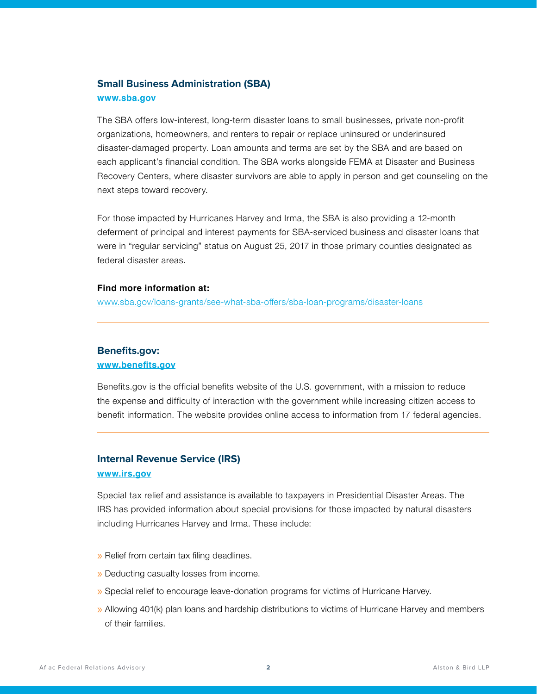# **Small Business Administration (SBA) [www.sba.gov](http://www.sba.gov)**

The SBA offers low-interest, long-term disaster loans to small businesses, private non-profit organizations, homeowners, and renters to repair or replace uninsured or underinsured disaster-damaged property. Loan amounts and terms are set by the SBA and are based on each applicant's financial condition. The SBA works alongside FEMA at Disaster and Business Recovery Centers, where disaster survivors are able to apply in person and get counseling on the next steps toward recovery.

For those impacted by Hurricanes Harvey and Irma, the SBA is also providing a 12-month deferment of principal and interest payments for SBA-serviced business and disaster loans that were in "regular servicing" status on August 25, 2017 in those primary counties designated as federal disaster areas.

#### **Find more information at:**

[www.sba.gov/loans-grants/see-what-sba-offers/sba-loan-programs/disaster-loans](http://www.sba.gov/loans-grants/see-what-sba-offers/sba-loan-programs/disaster-loans)

## **Benefits.gov:**

#### **[www.benefits.gov](http://www.benefits.gov)**

Benefits.gov is the official benefits website of the U.S. government, with a mission to reduce the expense and difficulty of interaction with the government while increasing citizen access to benefit information. The website provides online access to information from 17 federal agencies.

# **Internal Revenue Service (IRS) [www.irs.gov](http://www.irs.gov)**

Special tax relief and assistance is available to taxpayers in Presidential Disaster Areas. The IRS has provided information about special provisions for those impacted by natural disasters including Hurricanes Harvey and Irma. These include:

- » Relief from certain tax filing deadlines.
- » Deducting casualty losses from income.
- » Special relief to encourage leave-donation programs for victims of Hurricane Harvey.
- » Allowing 401(k) plan loans and hardship distributions to victims of Hurricane Harvey and members of their families.